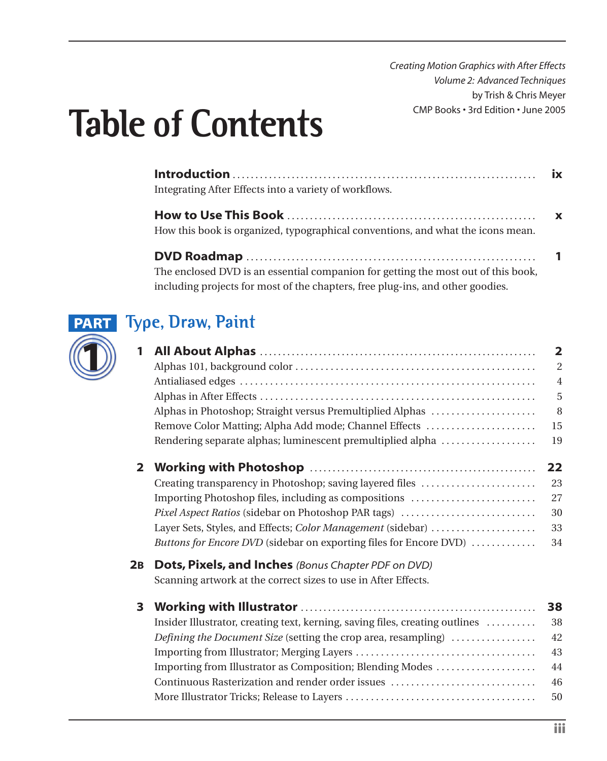*Creating Motion Graphics with After Effects Volume 2: Advanced Techniques* by Trish & Chris Meyer CMP Books • 3rd Edition • June 2005

# **Table of Contents**

| Integrating After Effects into a variety of workflows.                            |  |
|-----------------------------------------------------------------------------------|--|
|                                                                                   |  |
| How this book is organized, typographical conventions, and what the icons mean.   |  |
|                                                                                   |  |
| The enclosed DVD is an essential companion for getting the most out of this book, |  |
| including projects for most of the chapters, free plug-ins, and other goodies.    |  |



# **Type, Draw, Paint PART**

| 1 |                                                                           | $\overline{2}$ |
|---|---------------------------------------------------------------------------|----------------|
|   |                                                                           | $\overline{2}$ |
|   |                                                                           | $\overline{4}$ |
|   |                                                                           | 5              |
|   | Alphas in Photoshop; Straight versus Premultiplied Alphas                 | 8              |
|   | Remove Color Matting; Alpha Add mode; Channel Effects                     | 15             |
|   | Rendering separate alphas; luminescent premultiplied alpha                | 19             |
|   |                                                                           | 22             |
|   | Creating transparency in Photoshop; saving layered files                  | 23             |
|   | Importing Photoshop files, including as compositions                      | 27             |
|   | Pixel Aspect Ratios (sidebar on Photoshop PAR tags)                       | 30             |
|   | Layer Sets, Styles, and Effects; Color Management (sidebar)               | 33             |
|   | <i>Buttons for Encore DVD</i> (sidebar on exporting files for Encore DVD) | 34             |

#### **2B Dots, Pixels, and Inches** *(Bonus Chapter PDF on DVD)*

Scanning artwork at the correct sizes to use in After Effects.

#### **3 Working with Illustrator** . . . . . . . . . . . . . . . . . . . . . . . . . . . . . . . . . . . . . . . . . . . . . . . . . . . . **38**

| Importing from Illustrator as Composition; Blending Modes | 44 |
|-----------------------------------------------------------|----|
| Continuous Rasterization and render order issues          | 46 |
|                                                           |    |
|                                                           |    |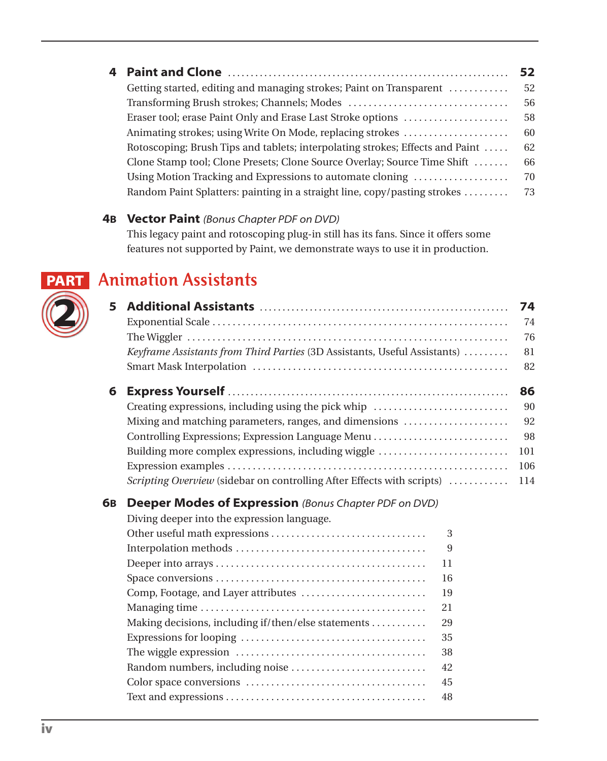|                                                                               | 52 |
|-------------------------------------------------------------------------------|----|
| Getting started, editing and managing strokes; Paint on Transparent           | 52 |
|                                                                               | 56 |
| Eraser tool; erase Paint Only and Erase Last Stroke options                   | 58 |
| Animating strokes; using Write On Mode, replacing strokes                     | 60 |
| Rotoscoping; Brush Tips and tablets; interpolating strokes; Effects and Paint | 62 |
| Clone Stamp tool; Clone Presets; Clone Source Overlay; Source Time Shift      | 66 |
| Using Motion Tracking and Expressions to automate cloning                     | 70 |
| Random Paint Splatters: painting in a straight line, copy/pasting strokes     | 73 |

#### **4B Vector Paint** *(Bonus Chapter PDF on DVD)*

This legacy paint and rotoscoping plug-in still has its fans. Since it offers some features not supported by Paint, we demonstrate ways to use it in production.

#### **Animation Assistants PART**

**2**

| 5  | Keyframe Assistants from Third Parties (3D Assistants, Useful Assistants)                                                                                                                                                                      |                                                              | 74<br>74<br>76<br>81<br>82                |
|----|------------------------------------------------------------------------------------------------------------------------------------------------------------------------------------------------------------------------------------------------|--------------------------------------------------------------|-------------------------------------------|
| 6  | Creating expressions, including using the pick whip<br>Mixing and matching parameters, ranges, and dimensions<br>Building more complex expressions, including wiggle<br>Scripting Overview (sidebar on controlling After Effects with scripts) |                                                              | 86<br>90<br>92<br>98<br>101<br>106<br>114 |
| 6в | <b>Deeper Modes of Expression</b> (Bonus Chapter PDF on DVD)<br>Diving deeper into the expression language.<br>Making decisions, including if/then/else statements                                                                             | 3<br>9<br>11<br>16<br>19<br>21<br>29<br>35<br>38<br>42<br>45 |                                           |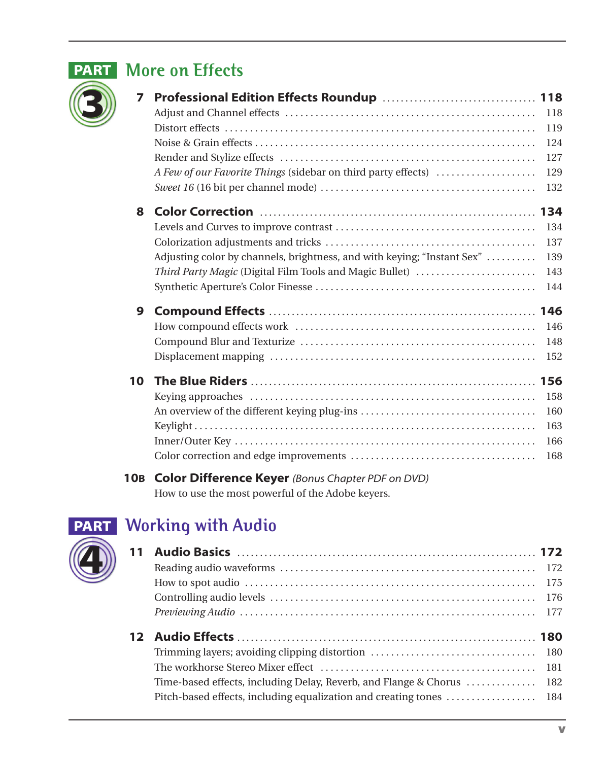

# **PART** More on Effects

| 7  |                                                                         |     |
|----|-------------------------------------------------------------------------|-----|
|    |                                                                         | 118 |
|    |                                                                         | 119 |
|    |                                                                         | 124 |
|    |                                                                         | 127 |
|    | A Few of our Favorite Things (sidebar on third party effects)           | 129 |
|    |                                                                         | 132 |
| 8  |                                                                         |     |
|    |                                                                         | 134 |
|    |                                                                         | 137 |
|    | Adjusting color by channels, brightness, and with keying; "Instant Sex" | 139 |
|    | Third Party Magic (Digital Film Tools and Magic Bullet)                 | 143 |
|    |                                                                         | 144 |
| 9  |                                                                         |     |
|    |                                                                         | 146 |
|    |                                                                         | 148 |
|    |                                                                         | 152 |
| 10 |                                                                         |     |
|    |                                                                         | 158 |
|    |                                                                         | 160 |
|    |                                                                         | 163 |
|    |                                                                         | 166 |
|    |                                                                         | 168 |
|    |                                                                         |     |

#### **10B Color Difference Keyer** *(Bonus Chapter PDF on DVD)* How to use the most powerful of the Adobe keyers.



# **Working with Audio PART**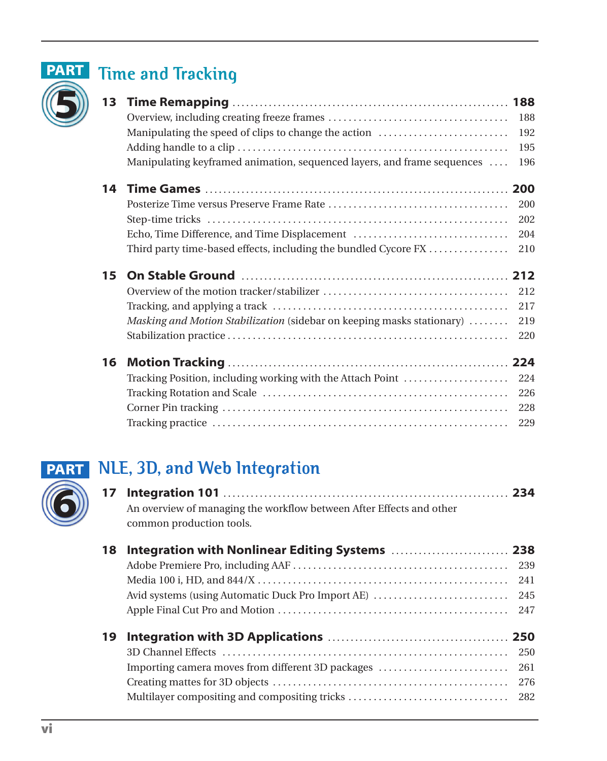

# **PART** Time and Tracking

| 13 |                                                                         |     |
|----|-------------------------------------------------------------------------|-----|
|    |                                                                         | 188 |
|    | Manipulating the speed of clips to change the action                    | 192 |
|    |                                                                         | 195 |
|    | Manipulating keyframed animation, sequenced layers, and frame sequences | 196 |
| 14 |                                                                         |     |
|    |                                                                         | 200 |
|    |                                                                         | 202 |
|    | Echo, Time Difference, and Time Displacement                            | 204 |
|    | Third party time-based effects, including the bundled Cycore FX         | 210 |
| 15 |                                                                         |     |
|    |                                                                         | 212 |
|    |                                                                         | 217 |
|    | Masking and Motion Stabilization (sidebar on keeping masks stationary)  | 219 |
|    |                                                                         | 220 |
| 16 |                                                                         |     |
|    |                                                                         |     |
|    |                                                                         | 224 |
|    | Tracking Position, including working with the Attach Point              | 226 |
|    |                                                                         | 228 |
|    |                                                                         | 229 |



# **NLE, 3D, and Web Integration PART**

| 17 | An overview of managing the workflow between After Effects and other<br>common production tools. |     |
|----|--------------------------------------------------------------------------------------------------|-----|
| 18 |                                                                                                  |     |
|    |                                                                                                  | 239 |
|    |                                                                                                  | 241 |
|    | Avid systems (using Automatic Duck Pro Import AE)                                                | 245 |
|    |                                                                                                  | 247 |
| 19 |                                                                                                  |     |
|    |                                                                                                  | 250 |
|    | Importing camera moves from different 3D packages                                                | 261 |
|    |                                                                                                  | 276 |
|    | Multilayer compositing and compositing tricks                                                    | 282 |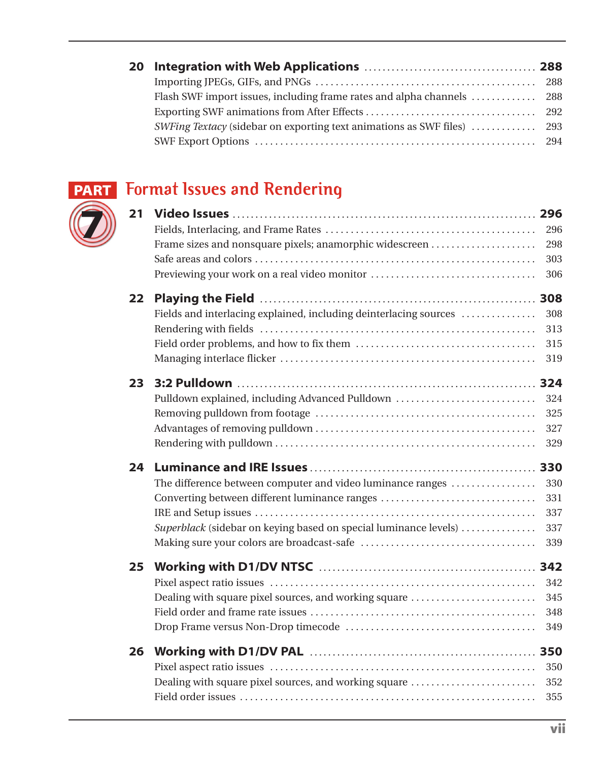# **7**

### **Format Issues and Rendering PART**

| 21 | Frame sizes and nonsquare pixels; anamorphic widescreen<br>Previewing your work on a real video monitor                                                                         | 296<br>298<br>303<br>306        |
|----|---------------------------------------------------------------------------------------------------------------------------------------------------------------------------------|---------------------------------|
| 22 | Fields and interlacing explained, including deinterlacing sources                                                                                                               | 308<br>313<br>315<br>319        |
| 23 | Pulldown explained, including Advanced Pulldown                                                                                                                                 | 324<br>325<br>327<br>329        |
| 24 |                                                                                                                                                                                 |                                 |
|    | The difference between computer and video luminance ranges<br>Converting between different luminance ranges<br>Superblack (sidebar on keying based on special luminance levels) | 330<br>331<br>337<br>337<br>339 |
| 25 | Dealing with square pixel sources, and working square                                                                                                                           | 342<br>345<br>348<br>349        |